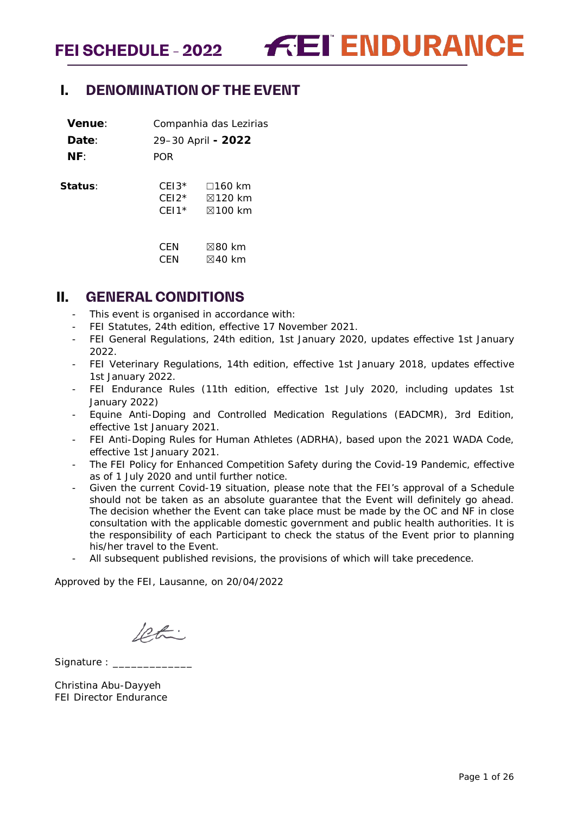**FEI ENDURANCE** 

# <span id="page-0-0"></span>**I. DENOMINATION OF THE EVENT**

| Venue:  |                               | Companhia das Lezirias                                       |
|---------|-------------------------------|--------------------------------------------------------------|
| Date:   |                               | 29-30 April - 2022                                           |
| NF:     | <b>POR</b>                    |                                                              |
| Status∶ | $CFI3*$<br>$CF12*$<br>$CFI1*$ | $\square$ 160 km<br>$\boxtimes$ 120 km<br>$\boxtimes$ 100 km |
|         | CFN<br>CFN                    | $\not\boxtimes$ 80 km<br>$\boxtimes$ 40 km                   |

# <span id="page-0-1"></span>**II. GENERAL CONDITIONS**

- This event is organised in accordance with:
- FEI Statutes, 24th edition, effective 17 November 2021.
- FEI General Regulations, 24th edition, 1st January 2020, updates effective 1st January 2022.
- FEI Veterinary Regulations, 14th edition, effective 1st January 2018, updates effective 1st January 2022.
- FEI Endurance Rules (11th edition, effective 1st July 2020, including updates 1st January 2022)
- Equine Anti-Doping and Controlled Medication Regulations (EADCMR), 3rd Edition, effective 1st January 2021.
- FEI Anti-Doping Rules for Human Athletes (ADRHA), based upon the 2021 WADA Code, effective 1st January 2021.
- The FEI Policy for Enhanced Competition Safety during the Covid-19 Pandemic, effective as of 1 July 2020 and until further notice.
- Given the current Covid-19 situation, please note that the FEI's approval of a Schedule should not be taken as an absolute guarantee that the Event will definitely go ahead. The decision whether the Event can take place must be made by the OC and NF in close consultation with the applicable domestic government and public health authorities. It is the responsibility of each Participant to check the status of the Event prior to planning his/her travel to the Event.
- All subsequent published revisions, the provisions of which will take precedence.

Approved by the FEI, Lausanne, on 20/04/2022

letti

Signature :

Christina Abu-Dayyeh FEI Director Endurance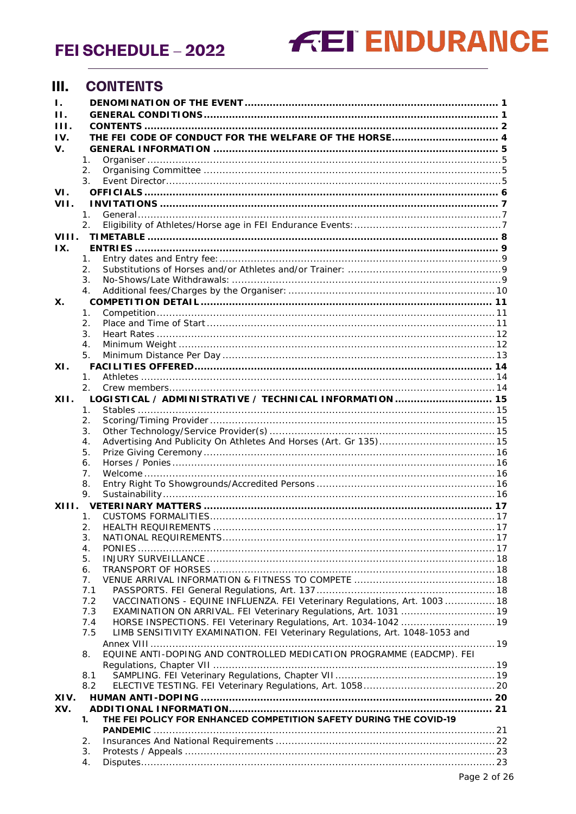# **FEI ENDURANCE**

#### <span id="page-1-0"></span> $III.$ **CONTENTS**

| Ι.<br>Н. |                      |                                                                              |  |
|----------|----------------------|------------------------------------------------------------------------------|--|
| Ш.       |                      |                                                                              |  |
| IV.      |                      |                                                                              |  |
| v.       |                      |                                                                              |  |
|          | 1.                   |                                                                              |  |
|          | 2.                   |                                                                              |  |
|          | 3.                   |                                                                              |  |
| VI.      |                      |                                                                              |  |
| VII.     |                      |                                                                              |  |
|          | $\mathbf{1}_{\cdot}$ |                                                                              |  |
|          | 2.                   |                                                                              |  |
| VIII.    |                      |                                                                              |  |
|          |                      |                                                                              |  |
| IX.      |                      |                                                                              |  |
|          | 1.<br>2.             |                                                                              |  |
|          | 3.                   |                                                                              |  |
|          |                      |                                                                              |  |
|          | $\mathbf 4$ .        |                                                                              |  |
| Х.       |                      |                                                                              |  |
|          | 1.                   |                                                                              |  |
|          | 2.<br>3.             |                                                                              |  |
|          | $\mathbf 4$ .        |                                                                              |  |
|          | 5.                   |                                                                              |  |
|          |                      |                                                                              |  |
| XI.      |                      |                                                                              |  |
|          | $\mathbf{1}$ .<br>2. |                                                                              |  |
|          |                      |                                                                              |  |
| XII.     |                      | LOGISTICAL / ADMINISTRATIVE / TECHNICAL INFORMATION  15                      |  |
|          | 1.                   |                                                                              |  |
|          | 2.<br>3.             |                                                                              |  |
|          | 4.                   |                                                                              |  |
|          | 5.                   |                                                                              |  |
|          | 6.                   |                                                                              |  |
|          | 7.                   |                                                                              |  |
|          | 8.                   |                                                                              |  |
|          | 9.                   |                                                                              |  |
| XIII.    |                      |                                                                              |  |
|          | 1.                   |                                                                              |  |
|          | 2.                   |                                                                              |  |
|          | 3.                   |                                                                              |  |
|          | 4.                   |                                                                              |  |
|          | 5.                   |                                                                              |  |
|          | 6.                   |                                                                              |  |
|          | 7.                   |                                                                              |  |
|          | 7.1                  |                                                                              |  |
|          | 7.2                  | VACCINATIONS - EQUINE INFLUENZA. FEI Veterinary Regulations, Art. 1003  18   |  |
|          | 7.3                  | EXAMINATION ON ARRIVAL. FEI Veterinary Regulations, Art. 1031  19            |  |
|          | 7.4                  | HORSE INSPECTIONS. FEI Veterinary Regulations, Art. 1034-1042  19            |  |
|          | 7.5                  | LIMB SENSITIVITY EXAMINATION. FEI Veterinary Regulations, Art. 1048-1053 and |  |
|          |                      |                                                                              |  |
|          | 8.                   | EQUINE ANTI-DOPING AND CONTROLLED MEDICATION PROGRAMME (EADCMP). FEI         |  |
|          |                      |                                                                              |  |
|          | 8.1                  |                                                                              |  |
|          | 8.2                  |                                                                              |  |
| XIV.     |                      |                                                                              |  |
| XV.      |                      |                                                                              |  |
|          | 1.                   | THE FEI POLICY FOR ENHANCED COMPETITION SAFETY DURING THE COVID-19           |  |
|          |                      |                                                                              |  |
|          | 2.                   |                                                                              |  |
|          | 3.                   |                                                                              |  |
|          | 4.                   |                                                                              |  |
|          |                      |                                                                              |  |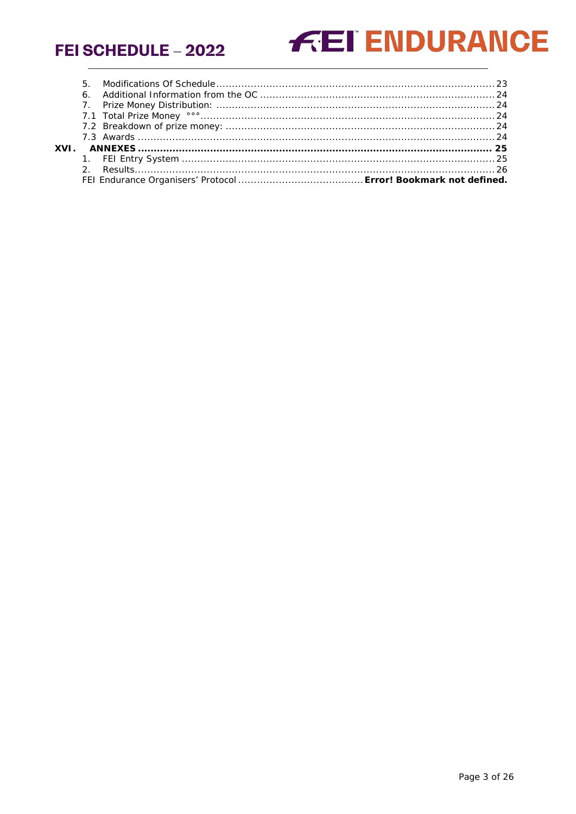# **FEI ENDURANCE**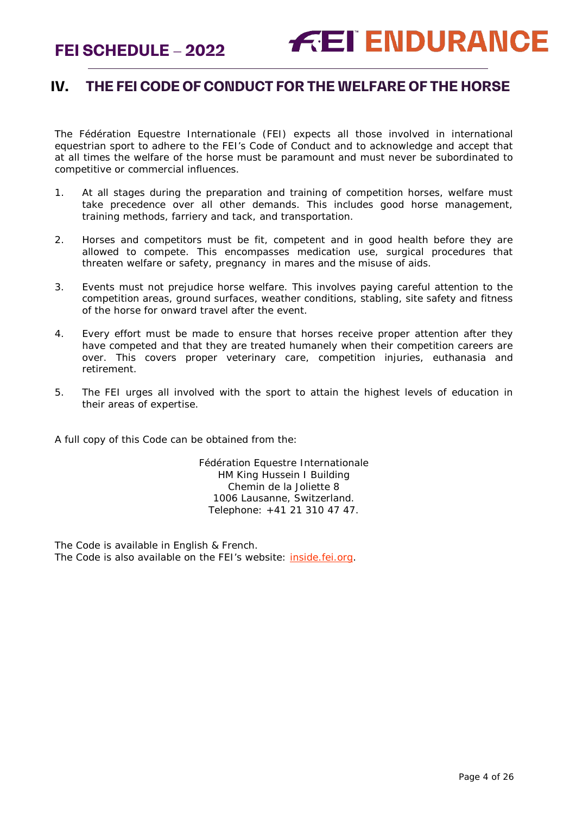# <span id="page-3-0"></span>**IV. THE FEI CODE OF CONDUCT FOR THE WELFARE OF THE HORSE**

The Fédération Equestre Internationale (FEI) expects all those involved in international equestrian sport to adhere to the FEI's Code of Conduct and to acknowledge and accept that at all times the welfare of the horse must be paramount and must never be subordinated to competitive or commercial influences.

- 1. At all stages during the preparation and training of competition horses, welfare must take precedence over all other demands. This includes good horse management, training methods, farriery and tack, and transportation.
- 2. Horses and competitors must be fit, competent and in good health before they are allowed to compete. This encompasses medication use, surgical procedures that threaten welfare or safety, pregnancy in mares and the misuse of aids.
- 3. Events must not prejudice horse welfare. This involves paying careful attention to the competition areas, ground surfaces, weather conditions, stabling, site safety and fitness of the horse for onward travel after the event.
- 4. Every effort must be made to ensure that horses receive proper attention after they have competed and that they are treated humanely when their competition careers are over. This covers proper veterinary care, competition injuries, euthanasia and retirement.
- 5. The FEI urges all involved with the sport to attain the highest levels of education in their areas of expertise.

A full copy of this Code can be obtained from the:

Fédération Equestre Internationale HM King Hussein I Building Chemin de la Joliette 8 1006 Lausanne, Switzerland. Telephone: +41 21 310 47 47.

The Code is available in English & French. The Code is also available on the FEI's website: [inside.fei.org.](http://www.fei.org/)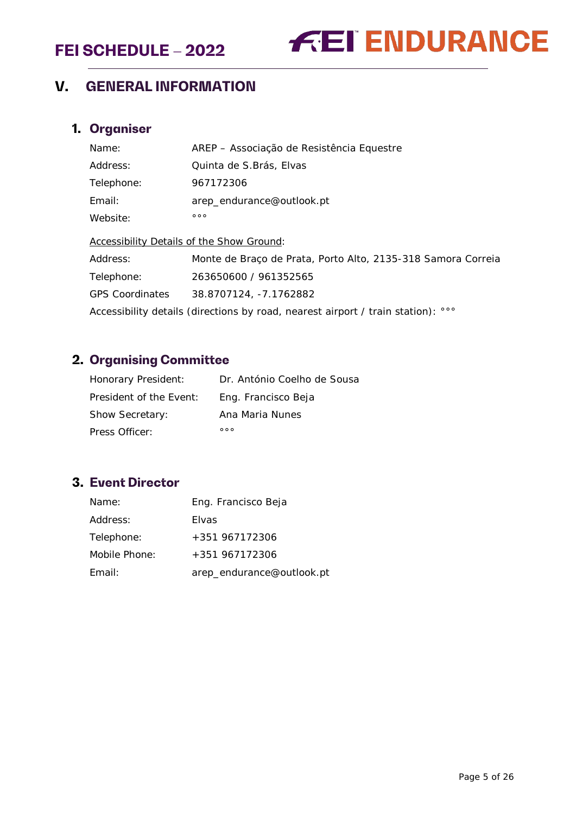# **FEI ENDURANCE**

# <span id="page-4-0"></span>**V. GENERAL INFORMATION**

# <span id="page-4-1"></span>**1. Organiser**

| Name:                                                                        | AREP – Associação de Resistência Equestre                    |  |  |  |
|------------------------------------------------------------------------------|--------------------------------------------------------------|--|--|--|
| Address:                                                                     | Quinta de S. Brás, Elvas                                     |  |  |  |
| Telephone:                                                                   | 967172306                                                    |  |  |  |
| Email:                                                                       | arep_endurance@outlook.pt                                    |  |  |  |
| Website:                                                                     | 000                                                          |  |  |  |
| Accessibility Details of the Show Ground:                                    |                                                              |  |  |  |
| Address:                                                                     | Monte de Braço de Prata, Porto Alto, 2135-318 Samora Correia |  |  |  |
| Telephone:                                                                   | 263650600 / 961352565                                        |  |  |  |
| <b>GPS Coordinates</b>                                                       | 38.8707124, -7.1762882                                       |  |  |  |
| Accessibility details (directions by road, nearest airport / train station): |                                                              |  |  |  |

# <span id="page-4-2"></span>**2. Organising Committee**

| Honorary President:     | Dr. António Coelho de Sousa |
|-------------------------|-----------------------------|
| President of the Event: | Eng. Francisco Beja         |
| <b>Show Secretary:</b>  | Ana Maria Nunes             |
| Press Officer:          | 000                         |

# <span id="page-4-3"></span>**3. Event Director**

| Name:         | Eng. Francisco Beja       |
|---------------|---------------------------|
| Address:      | <b>Flyas</b>              |
| Telephone:    | +351 967172306            |
| Mobile Phone: | +351 967172306            |
| Email:        | arep_endurance@outlook.pt |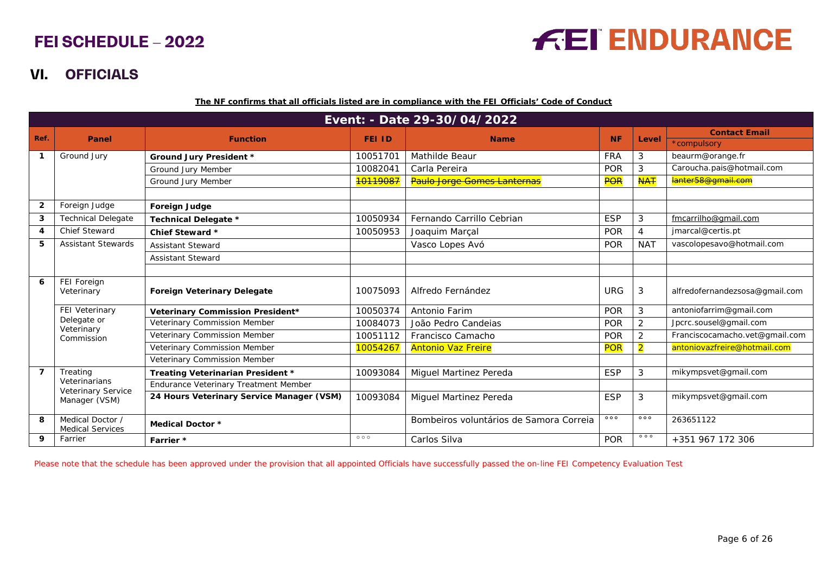# **FEI ENDURANCE**

# **VI. OFFICIALS**

**The NF confirms that all officials listed are in compliance with the FEI Officials' Code of Conduct**

|                | Event: - Date 29-30/04/2022                 |                                           |               |                                         |            |                |                                |
|----------------|---------------------------------------------|-------------------------------------------|---------------|-----------------------------------------|------------|----------------|--------------------------------|
| Ref.           | Panel                                       | <b>Function</b>                           | <b>FEI ID</b> | <b>Name</b>                             | <b>NF</b>  | Level          | <b>Contact Email</b>           |
|                |                                             |                                           |               |                                         |            |                | *compulsory                    |
| $\mathbf 1$    | Ground Jury                                 | <b>Ground Jury President *</b>            | 10051701      | Mathilde Beaur                          | <b>FRA</b> | 3              | beaurm@orange.fr               |
|                |                                             | Ground Jury Member                        | 10082041      | Carla Pereira                           | POR        | 3              | Caroucha.pais@hotmail.com      |
|                |                                             | Ground Jury Member                        | 10119087      | Paulo Jorge Gomes Lanternas             | POR        | <b>NAT</b>     | lanter58@gmail.com             |
|                |                                             |                                           |               |                                         |            |                |                                |
| $\overline{2}$ | Foreign Judge                               | Foreign Judge                             |               |                                         |            |                |                                |
| 3              | <b>Technical Delegate</b>                   | Technical Delegate *                      | 10050934      | Fernando Carrillo Cebrian               | <b>ESP</b> | 3              | fmcarrilho@gmail.com           |
| 4              | <b>Chief Steward</b>                        | Chief Steward *                           | 10050953      | Joaquim Marçal                          | POR        | 4              | jmarcal@certis.pt              |
| 5              | <b>Assistant Stewards</b>                   | <b>Assistant Steward</b>                  |               | Vasco Lopes Avó                         | <b>POR</b> | <b>NAT</b>     | vascolopesavo@hotmail.com      |
|                |                                             | <b>Assistant Steward</b>                  |               |                                         |            |                |                                |
|                |                                             |                                           |               |                                         |            |                |                                |
| 6              | FEI Foreign<br>Veterinary                   | <b>Foreign Veterinary Delegate</b>        | 10075093      | Alfredo Fernández                       | <b>URG</b> | 3              | alfredofernandezsosa@gmail.com |
|                | FEI Veterinary                              | Veterinary Commission President*          | 10050374      | Antonio Farim                           | POR        | 3              | antoniofarrim@gmail.com        |
|                | Delegate or                                 | Veterinary Commission Member              | 10084073      | João Pedro Candeias                     | <b>POR</b> | 2              | Jpcrc.sousel@gmail.com         |
|                | Veterinary<br>Commission                    | Veterinary Commission Member              | 10051112      | Francisco Camacho                       | <b>POR</b> | $\overline{2}$ | Franciscocamacho.vet@gmail.com |
|                |                                             | Veterinary Commission Member              | 10054267      | <b>Antonio Vaz Freire</b>               | <b>POR</b> | $\overline{2}$ | antoniovazfreire@hotmail.com   |
|                |                                             | Veterinary Commission Member              |               |                                         |            |                |                                |
| $\overline{7}$ | Treating                                    | Treating Veterinarian President *         | 10093084      | Miguel Martinez Pereda                  | <b>ESP</b> | 3              | mikympsvet@gmail.com           |
|                | Veterinarians                               | Endurance Veterinary Treatment Member     |               |                                         |            |                |                                |
|                | Veterinary Service<br>Manager (VSM)         | 24 Hours Veterinary Service Manager (VSM) | 10093084      | Miguel Martinez Pereda                  | <b>ESP</b> | 3              | mikympsvet@gmail.com           |
| 8              | Medical Doctor /<br><b>Medical Services</b> | <b>Medical Doctor *</b>                   |               | Bombeiros voluntários de Samora Correia | 000        | 000            | 263651122                      |
| 9              | Farrier                                     | Farrier *                                 | 000           | Carlos Silva                            | <b>POR</b> | 000            | +351 967 172 306               |

<span id="page-5-0"></span>Please note that the schedule has been approved under the provision that all appointed Officials have successfully passed the on-line FEI Competency Evaluation Test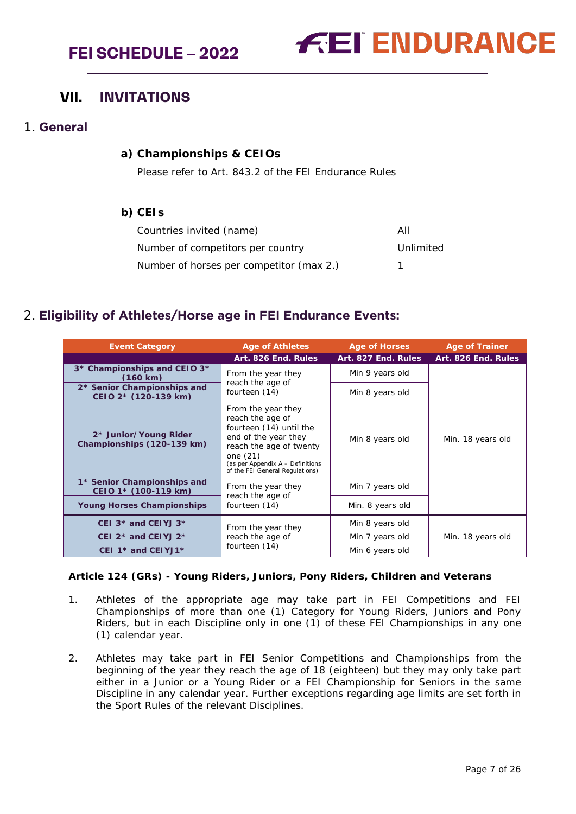

# <span id="page-6-0"></span>**VII. INVITATIONS**

## <span id="page-6-1"></span>1. **General**

#### **a) Championships & CEIOs**

Please refer to Art. 843.2 of the FEI Endurance Rules

#### **b) CEIs**

| Countries invited (name)                 | All       |
|------------------------------------------|-----------|
| Number of competitors per country        | Unlimited |
| Number of horses per competitor (max 2.) |           |

# <span id="page-6-2"></span>2. **Eligibility of Athletes/Horse age in FEI Endurance Events:**

| <b>Event Category</b>                                       | <b>Age of Athletes</b>                                                                                                                                                                                    | <b>Age of Horses</b> | <b>Age of Trainer</b> |
|-------------------------------------------------------------|-----------------------------------------------------------------------------------------------------------------------------------------------------------------------------------------------------------|----------------------|-----------------------|
|                                                             | Art. 826 End. Ru <u>les</u>                                                                                                                                                                               | Art. 827 End. Rules  | Art. 826 End. Rules   |
| 3* Championships and CEIO 3*<br>(160 km)                    | From the year they                                                                                                                                                                                        | Min 9 years old      |                       |
| 2* Senior Championships and<br>CEIO 2* (120-139 km)         | reach the age of<br>fourteen (14)                                                                                                                                                                         | Min 8 years old      |                       |
| 2* Junior/Young Rider<br>Championships (120-139 km)         | From the year they<br>reach the age of<br>fourteen (14) until the<br>end of the year they<br>reach the age of twenty<br>one $(21)$<br>(as per Appendix A - Definitions<br>of the FEI General Regulations) | Min 8 years old      | Min. 18 years old     |
| 1* Senior Championships and<br>CEIO 1* (100-119 km)         | From the year they<br>reach the age of                                                                                                                                                                    | Min 7 years old      |                       |
| <b>Young Horses Championships</b>                           | fourteen (14)                                                                                                                                                                                             | Min. 8 years old     |                       |
| CEI $3*$ and CEIYJ $3*$                                     | From the year they                                                                                                                                                                                        | Min 8 years old      |                       |
| CEI $2*$ and CEIYJ $2*$                                     | reach the age of                                                                                                                                                                                          | Min 7 years old      | Min. 18 years old     |
| fourteen (14)<br>CEI 1 <sup>*</sup> and CEIYJ1 <sup>*</sup> |                                                                                                                                                                                                           | Min 6 years old      |                       |

#### **Article 124 (GRs) - Young Riders, Juniors, Pony Riders, Children and Veterans**

- 1. Athletes of the appropriate age may take part in FEI Competitions and FEI Championships of more than one (1) Category for Young Riders, Juniors and Pony Riders, but in each Discipline only in one (1) of these FEI Championships in any one (1) calendar year.
- 2. Athletes may take part in FEI Senior Competitions and Championships from the beginning of the year they reach the age of 18 (eighteen) but they may only take part either in a Junior or a Young Rider or a FEI Championship for Seniors in the same Discipline in any calendar year. Further exceptions regarding age limits are set forth in the Sport Rules of the relevant Disciplines.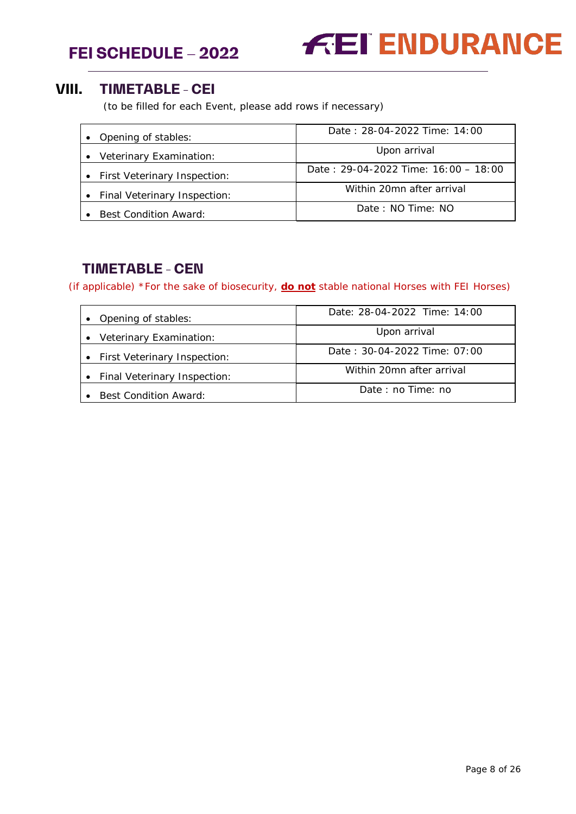



# <span id="page-7-0"></span>**VIII. TIMETABLE - CEI**

(to be filled for each Event, please add rows if necessary)

| • Opening of stables:          | Date: 28-04-2022 Time: 14:00           |
|--------------------------------|----------------------------------------|
| • Veterinary Examination:      | Upon arrival                           |
| • First Veterinary Inspection: | Date: $29-04-2022$ Time: $16:00-18:00$ |
| • Final Veterinary Inspection: | Within 20mn after arrival              |
| <b>Best Condition Award:</b>   | Date: NO Time: NO                      |

# **TIMETABLE - CEN**

(if applicable) *\*For the sake of biosecurity, do not stable national Horses with FEI Horses)*

| • Opening of stables:          | Date: 28-04-2022 Time: 14:00 |  |  |
|--------------------------------|------------------------------|--|--|
| • Veterinary Examination:      | Upon arrival                 |  |  |
| • First Veterinary Inspection: | Date: 30-04-2022 Time: 07:00 |  |  |
| • Final Veterinary Inspection: | Within 20mn after arrival    |  |  |
| • Best Condition Award:        | Date: no Time: no            |  |  |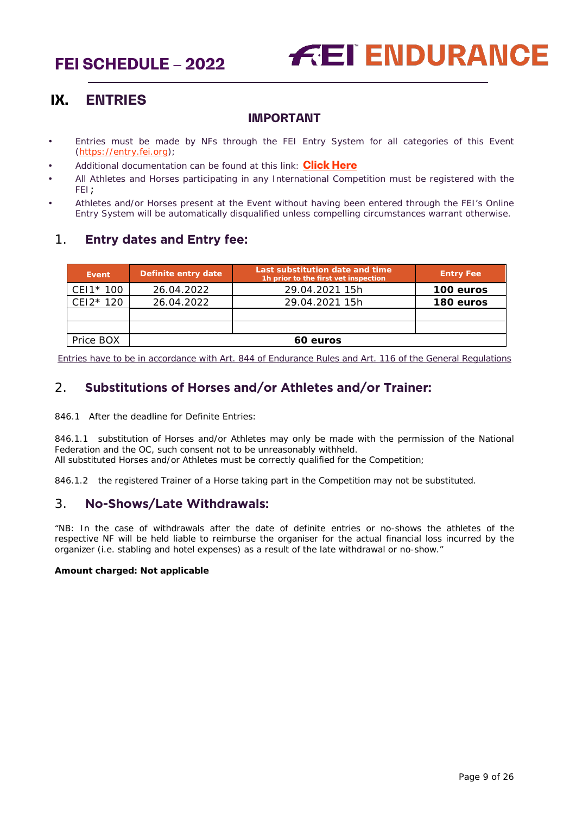

# <span id="page-8-0"></span>**IX. ENTRIES**

## **IMPORTANT**

- Entries must be made by NFs through the FEI Entry System for all categories of this Event [\(https://entry.fei.org\)](https://entry.fei.org/);
- Additional documentation can be found at this link: **[Click Here](https://inside.fei.org/fei/your-role/it-services/fei-entry-system/fei-entry-system-endurance)**
- All Athletes and Horses participating in any International Competition must be registered with the FEI;
- Athletes and/or Horses present at the Event without having been entered through the FEI's Online Entry System will be automatically disqualified unless compelling circumstances warrant otherwise.

# <span id="page-8-1"></span>1. **Entry dates and Entry fee:**

| Event     | Definite entry date | Last substitution date and time<br>1h prior to the first vet inspection | <b>Entry Fee</b> |
|-----------|---------------------|-------------------------------------------------------------------------|------------------|
| CEI1* 100 | 26.04.2022          | 29.04.2021 15h                                                          | 100 euros        |
| CEI2* 120 | 26.04.2022          | 29.04.2021 15h                                                          | 180 euros        |
|           |                     |                                                                         |                  |
|           |                     |                                                                         |                  |
| Price BOX |                     | 60 euros                                                                |                  |

Entries have to be in accordance with Art. 844 of Endurance Rules and Art. 116 of the General Regulations

# <span id="page-8-2"></span>2. **Substitutions of Horses and/or Athletes and/or Trainer:**

846.1 After the deadline for Definite Entries:

846.1.1 substitution of Horses and/or Athletes may only be made with the permission of the National Federation and the OC, such consent not to be unreasonably withheld. All substituted Horses and/or Athletes must be correctly qualified for the Competition;

846.1.2 the registered Trainer of a Horse taking part in the Competition may not be substituted.

# <span id="page-8-3"></span>3. **No-Shows/Late Withdrawals:**

"NB: In the case of withdrawals after the date of definite entries or no-shows the athletes of the respective NF will be held liable to reimburse the organiser for the actual financial loss incurred by the organizer (i.e. stabling and hotel expenses) as a result of the late withdrawal or no-show."

#### **Amount charged: Not applicable**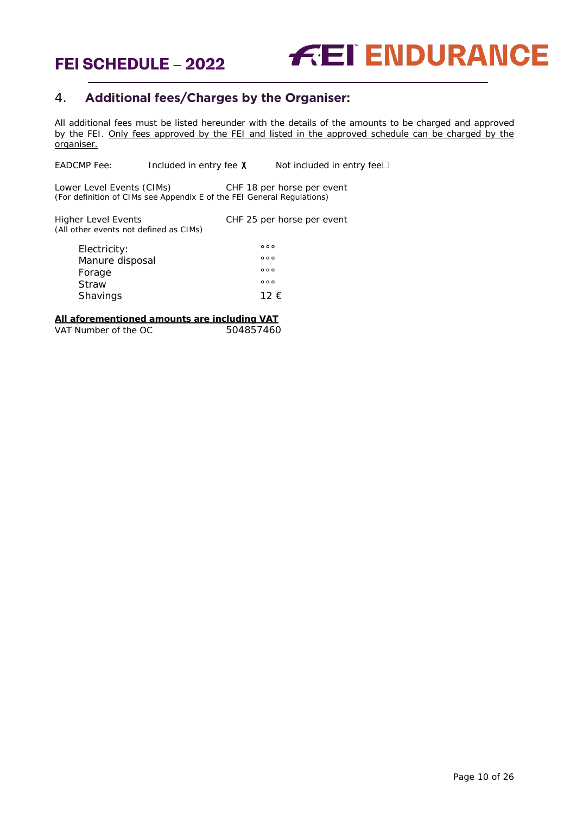

# <span id="page-9-0"></span>4. **Additional fees/Charges by the Organiser:**

All additional fees must be listed hereunder with the details of the amounts to be charged and approved by the FEI. Only fees approved by the FEI and listed in the approved schedule can be charged by the organiser.

EADCMP Fee: Included in entry fee  $X$  Not included in entry fee $\square$ 

Lower Level Events (CIMs) CHF 18 per horse per event *(For definition of CIMs see Appendix E of the FEI General Regulations)*

Higher Level Events CHF 25 per horse per event *(All other events not defined as CIMs)* Electricity: and the set of the set of the set of the set of the set of the set of the set of the set of the set of the set of the set of the set of the set of the set of the set of the set of the set of the set of the set Manure disposal

| Forage   | 000  |
|----------|------|
| Straw    | 000  |
| Shavings | 12 € |

#### **All aforementioned amounts are including VAT**

VAT Number of the OC 504857460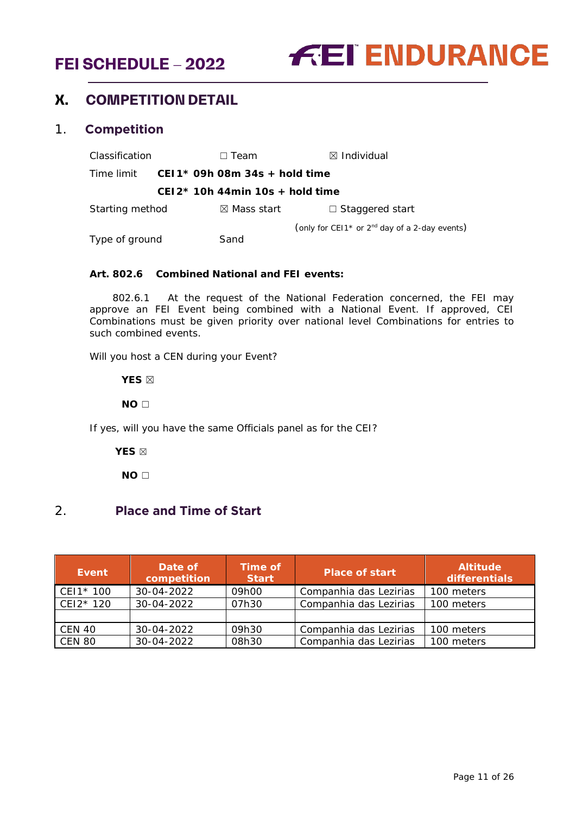

# <span id="page-10-0"></span>**X. COMPETITION DETAIL**

#### <span id="page-10-1"></span>1. **Competition**

Classification ☐ Team ☒ Individual Time limit **CEI1\* 09h 08m 34s + hold time CEI2\* 10h 44min 10s + hold time** Starting method **v** ⊠ Mass start **v** □ Staggered start (*only for CEI1\* or 2nd day of a 2-day events*) Type of ground Sand

#### **Art. 802.6 Combined National and FEI events:**

 *802.6.1 At the request of the National Federation concerned, the FEI may approve an FEI Event being combined with a National Event. If approved, CEI Combinations must be given priority over national level Combinations for entries to such combined events.*

Will you host a CEN during your Event?

 **YES** ☒

 **NO** ☐

If yes, will you have the same Officials panel as for the CEI?

 **YES** ☒

<span id="page-10-2"></span>**NO □** 

# 2. **Place and Time of Start**

| Event         | Date of<br>competition | Time of<br><b>Start</b> | <b>Place of start</b>  | <b>Altitude</b><br>differentials |
|---------------|------------------------|-------------------------|------------------------|----------------------------------|
| $CEI1*100$    | 30-04-2022             | 09h00                   | Companhia das Lezirias | 100 meters                       |
| $CEI2*120$    | 30-04-2022             | 07h30                   | Companhia das Lezirias | 100 meters                       |
|               |                        |                         |                        |                                  |
| $CCEN$ 40     | 30-04-2022             | 09h30                   | Companhia das Lezirias | 100 meters                       |
| <b>CEN 80</b> | 30-04-2022             | 08h30                   | Companhia das Lezirias | 100 meters                       |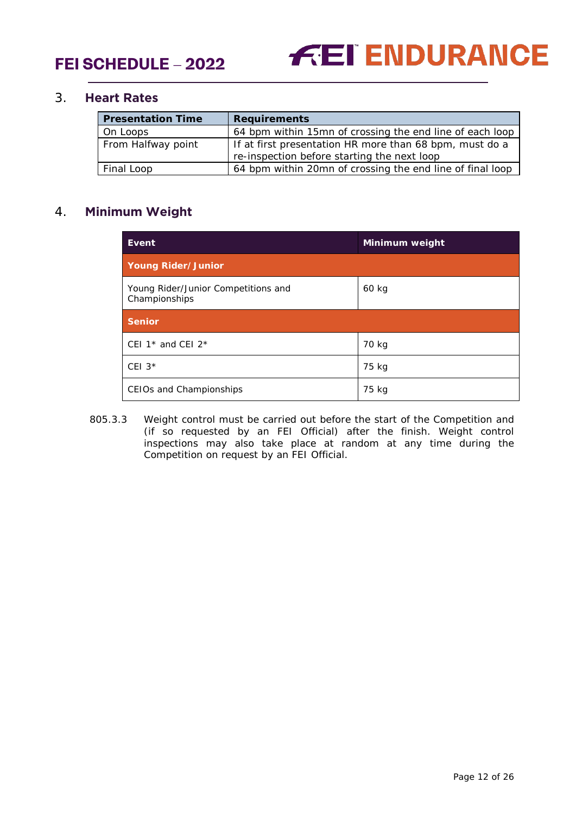

## <span id="page-11-0"></span>3. **Heart Rates**

| <b>Presentation Time</b> | <b>Requirements</b>                                       |
|--------------------------|-----------------------------------------------------------|
| On Loops                 | 64 bpm within 15mn of crossing the end line of each loop  |
| From Halfway point       | If at first presentation HR more than 68 bpm, must do a   |
|                          | re-inspection before starting the next loop               |
| Final Loop               | 64 bpm within 20mn of crossing the end line of final loop |

# <span id="page-11-1"></span>4. **Minimum Weight**

| Event                                                | Minimum weight |
|------------------------------------------------------|----------------|
| <b>Young Rider/Junior</b>                            |                |
| Young Rider/Junior Competitions and<br>Championships | 60 kg          |
| <b>Senior</b>                                        |                |
| CEI 1 <sup>*</sup> and CEI $2^*$                     | 70 kg          |
| CEI $3*$                                             | 75 kg          |
| CEIOs and Championships                              | 75 kg          |

805.3.3 Weight control must be carried out before the start of the Competition and (if so requested by an FEI Official) after the finish. Weight control inspections may also take place at random at any time during the Competition on request by an FEI Official.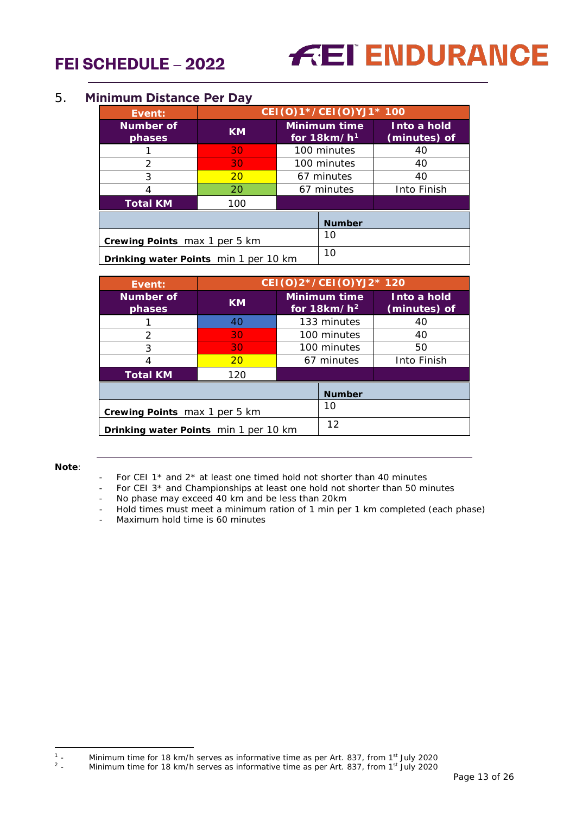# **FEI ENDURANCE**

## <span id="page-12-0"></span>5. **Minimum Distance Per Day**

| Event:                                | CEI (0) 1*/CEI (0) YJ1* 100 |    |                                      |                             |
|---------------------------------------|-----------------------------|----|--------------------------------------|-----------------------------|
| Number of<br>phases                   | <b>KM</b>                   |    | <b>Minimum time</b><br>for $18km/h1$ | Into a hold<br>(minutes) of |
|                                       | 30                          |    | 100 minutes                          | 40                          |
| 2                                     | 30                          |    | 100 minutes                          | 40                          |
| 3                                     | 20                          |    | 67 minutes                           | 40                          |
| 4                                     | 20                          |    | 67 minutes                           | Into Finish                 |
| <b>Total KM</b>                       | 100                         |    |                                      |                             |
| <b>Number</b>                         |                             |    |                                      |                             |
| Crewing Points max 1 per 5 km         |                             | 10 |                                      |                             |
| Drinking water Points min 1 per 10 km |                             | 10 |                                      |                             |

| Event:                                | CEI (O) 2*/CEI (O) YJ2* 120 |    |                                |                             |
|---------------------------------------|-----------------------------|----|--------------------------------|-----------------------------|
| <b>Number of</b><br>phases            | <b>KM</b>                   |    | Minimum time<br>for $18km/h^2$ | Into a hold<br>(minutes) of |
|                                       | 40                          |    | 133 minutes                    | 40                          |
| $\mathcal{P}$                         | 30                          |    | 100 minutes                    | 40                          |
| 3                                     | 30                          |    | 100 minutes                    | 50                          |
| 4                                     | <b>20</b>                   |    | 67 minutes                     | Into Finish                 |
| <b>Total KM</b>                       | 120                         |    |                                |                             |
|                                       |                             |    | <b>Number</b>                  |                             |
| Crewing Points max 1 per 5 km         |                             | 10 |                                |                             |
| Drinking water Points min 1 per 10 km |                             | 12 |                                |                             |

#### **Note**:

- For CEI 1 $*$  and 2 $*$  at least one timed hold not shorter than 40 minutes
- For CEI 3<sup>\*</sup> and Championships at least one hold not shorter than 50 minutes
- No phase may exceed 40 km and be less than 20km
- Hold times must meet a minimum ration of 1 min per 1 km completed (each phase)
- Maximum hold time is 60 minutes

<span id="page-12-2"></span><span id="page-12-1"></span> $\mathbb{1}_{\geq 0}$ <sup>1</sup> - Minimum time for 18 km/h serves as informative time as per Art. 837, from 1<sup>st</sup> July 2020<br><sup>2</sup> - Minimum time for 18 km/h serves as informative time as per Art. 837, from 1<sup>st</sup> July 2020

Minimum time for 18 km/h serves as informative time as per Art. 837, from 1<sup>st</sup> July 2020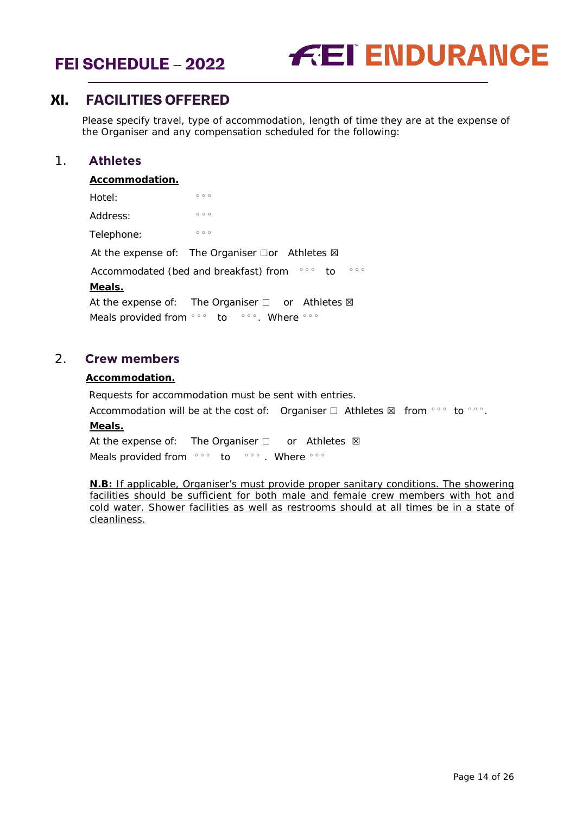



# <span id="page-13-0"></span>**XI. FACILITIES OFFERED**

Please specify travel, type of accommodation, length of time they are at the expense of the Organiser and any compensation scheduled for the following:

# 1. **Athletes**

#### <span id="page-13-1"></span>**Accommodation.**

| Hotel:     | 000                                                                       |
|------------|---------------------------------------------------------------------------|
| Address:   | 000                                                                       |
| Telephone: | 000                                                                       |
|            | At the expense of: The Organiser $\Box$ or Athletes $\boxtimes$           |
|            | 000<br>$\circ \circ \circ$<br>Accommodated (bed and breakfast) from<br>to |
| Meals.     |                                                                           |
|            | At the expense of: The Organiser $\Box$ or Athletes $\boxtimes$           |
|            | Meals provided from only to love. Where only                              |

## <span id="page-13-2"></span>2. **Crew members**

#### **Accommodation.**

Requests for accommodation must be sent with entries.

Accommodation will be at the cost of: Organiser  $\Box$  Athletes  $\boxtimes$  from °°° to °°°.

#### **Meals.**

At the expense of: The Organiser □ or Athletes ⊠ Meals provided from °°° to °°°. Where °°°

**N.B:** If applicable, Organiser's must provide proper sanitary conditions. The showering facilities should be sufficient for both male and female crew members with hot and cold water. Shower facilities as well as restrooms should at all times be in a state of cleanliness.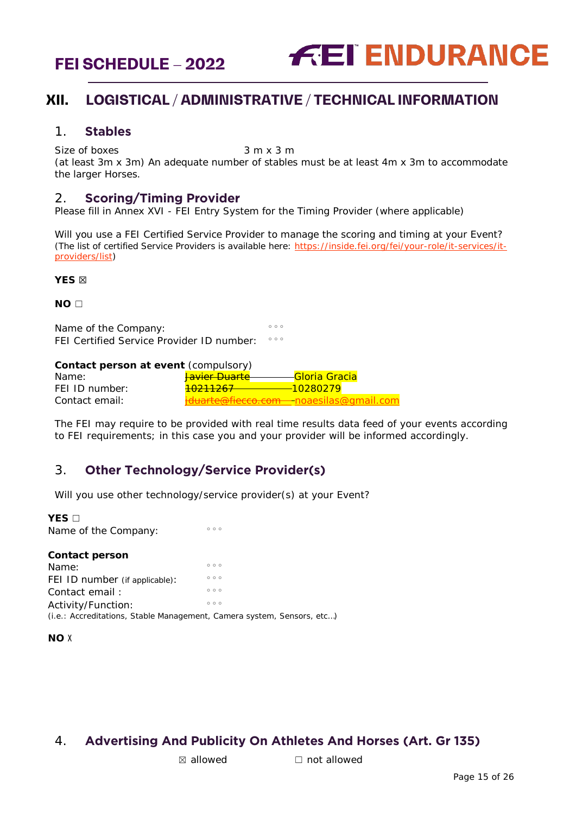

# <span id="page-14-0"></span>**XII. LOGISTICAL / ADMINISTRATIVE / TECHNICAL INFORMATION**

### <span id="page-14-1"></span>1. **Stables**

 $Size of boxes$  3 m x 3 m

(at least 3m x 3m) An adequate number of stables must be at least 4m x 3m to accommodate the larger Horses.

## <span id="page-14-2"></span>2. **Scoring/Timing Provider**

Please fill in Annex XVI - FEI Entry System for the Timing Provider (where applicable)

Will you use a FEI Certified Service Provider to manage the scoring and timing at your Event? *(The list of certified Service Providers is available here:* [https://inside.fei.org/fei/your-role/it-services/it](https://inside.fei.org/fei/your-role/it-services/it-providers/list)[providers/list](https://inside.fei.org/fei/your-role/it-services/it-providers/list)*)*

**YES** ☒

**NO** ☐

Name of the Company:  $\frac{1}{\sqrt{2}}$ FEI Certified Service Provider ID number:  $\circ \circ \circ$ 

#### **Contact person at event** *(compulsory)*

| Name:          | <del>Javier Duarte</del> | - <mark>Gloria Gracia</mark>                        |
|----------------|--------------------------|-----------------------------------------------------|
| FEI ID number: | <del>10211267</del>      | $-10280279$                                         |
| Contact email: |                          | <del>iduarte@fiecco.com -</del> noaesilas@gmail.com |

The FEI may require to be provided with real time results data feed of your events according to FEI requirements; in this case you and your provider will be informed accordingly.

# <span id="page-14-3"></span>3. **Other Technology/Service Provider(s)**

Will you use other technology/service provider(s) at your Event?

#### **YES** □

| 000                                                                    |
|------------------------------------------------------------------------|
|                                                                        |
| 000                                                                    |
| 000                                                                    |
| 000                                                                    |
| 000                                                                    |
| (i.e.: Accreditations, Stable Management, Camera system, Sensors, etc) |
|                                                                        |

#### **NO** X

# <span id="page-14-4"></span>4. **Advertising And Publicity On Athletes And Horses (Art. Gr 135)**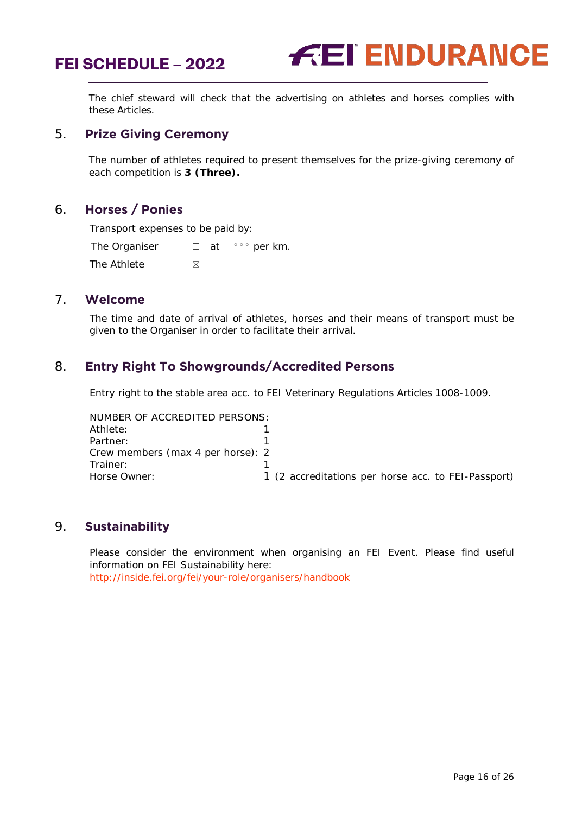

The chief steward will check that the advertising on athletes and horses complies with these Articles.

## <span id="page-15-0"></span>5. **Prize Giving Ceremony**

The number of athletes required to present themselves for the prize-giving ceremony of each competition is **3 (Three).**

#### <span id="page-15-1"></span>6. **Horses / Ponies**

Transport expenses to be paid by:

The Organiser  $□$  at  $\circ \circ \circ$  per km. The Athlete  $\boxtimes$ 

#### <span id="page-15-2"></span>7. **Welcome**

The time and date of arrival of athletes, horses and their means of transport must be given to the Organiser in order to facilitate their arrival.

## <span id="page-15-3"></span>8. **Entry Right To Showgrounds/Accredited Persons**

Entry right to the stable area acc. to FEI Veterinary Regulations Articles 1008-1009.

NUMBER OF ACCREDITED PERSONS: Athlete: 1<br>Partner: 1 Partner: Crew members (max 4 per horse): 2 Trainer: 1 Horse Owner: 1 (2 accreditations per horse acc. to FEI-Passport)

## <span id="page-15-4"></span>9. **Sustainability**

Please consider the environment when organising an FEI Event. Please find useful information on FEI Sustainability here: <http://inside.fei.org/fei/your-role/organisers/handbook>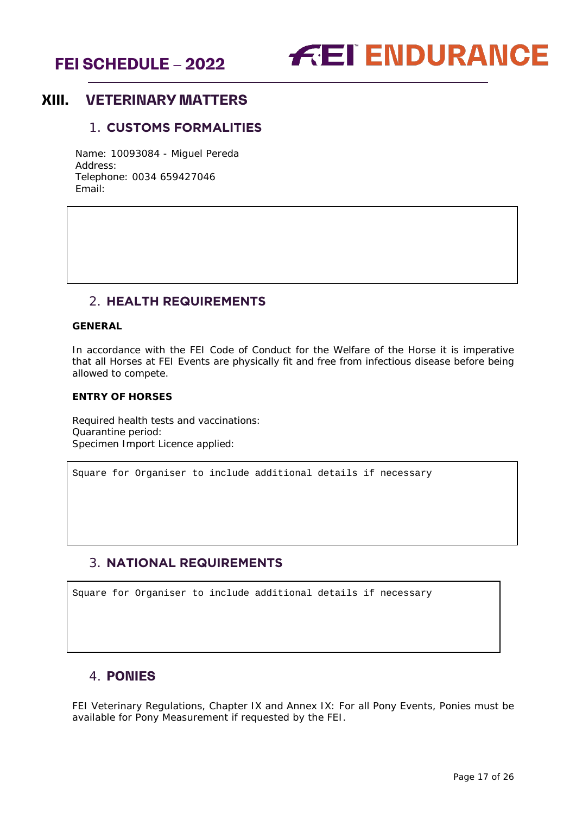



# <span id="page-16-1"></span><span id="page-16-0"></span>**XIII. VETERINARY MATTERS**

## 1. **CUSTOMS FORMALITIES**

Name: 10093084 - Miguel Pereda Address: Telephone: 0034 659427046 Email:

# 2. **HEALTH REQUIREMENTS**

#### <span id="page-16-2"></span>**GENERAL**

In accordance with the FEI Code of Conduct for the Welfare of the Horse it is imperative that all Horses at FEI Events are physically fit and free from infectious disease before being allowed to compete.

#### **ENTRY OF HORSES**

Required health tests and vaccinations: Quarantine period: Specimen Import Licence applied:

Square for Organiser to include additional details if necessary

# <span id="page-16-3"></span>3. **NATIONAL REQUIREMENTS**

Square for Organiser to include additional details if necessary

# <span id="page-16-4"></span>4. **PONIES**

FEI Veterinary Regulations, Chapter IX and Annex IX: For all Pony Events, Ponies must be available for Pony Measurement if requested by the FEI.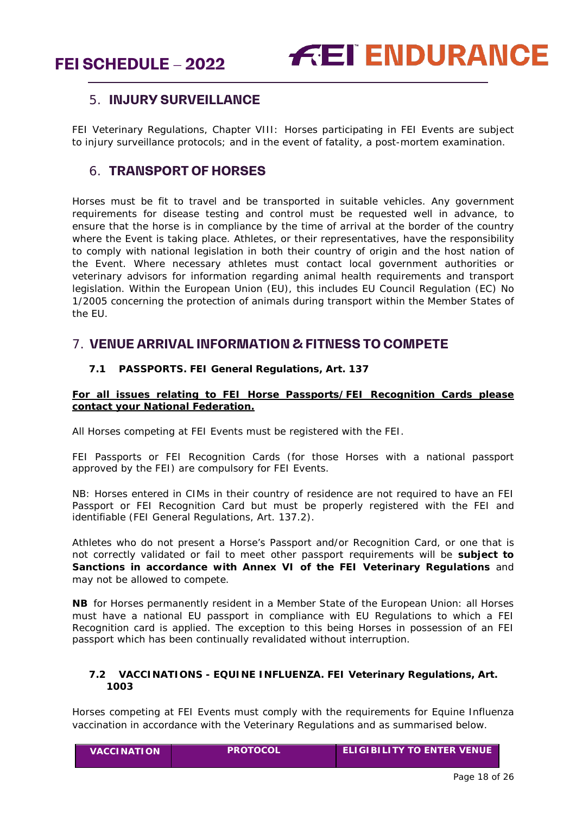# <span id="page-17-0"></span>5. **INJURY SURVEILLANCE**

FEI Veterinary Regulations, Chapter VIII: Horses participating in FEI Events are subject to injury surveillance protocols; and in the event of fatality, a post-mortem examination.

# <span id="page-17-1"></span>6. **TRANSPORT OF HORSES**

Horses must be fit to travel and be transported in suitable vehicles. Any government requirements for disease testing and control must be requested well in advance, to ensure that the horse is in compliance by the time of arrival at the border of the country where the Event is taking place. Athletes, or their representatives, have the responsibility to comply with national legislation in both their country of origin and the host nation of the Event. Where necessary athletes must contact local government authorities or veterinary advisors for information regarding animal health requirements and transport legislation. Within the European Union (EU), this includes EU Council Regulation (EC) No 1/2005 concerning the protection of animals during transport within the Member States of the EU.

# <span id="page-17-3"></span><span id="page-17-2"></span>7. **VENUE ARRIVAL INFORMATION & FITNESS TO COMPETE**

#### **7.1 PASSPORTS. FEI General Regulations, Art. 137**

#### **For all issues relating to FEI Horse Passports/FEI Recognition Cards please contact your National Federation.**

All Horses competing at FEI Events must be registered with the FEI.

FEI Passports or FEI Recognition Cards (for those Horses with a national passport approved by the FEI) are compulsory for FEI Events.

NB: Horses entered in CIMs in their country of residence are not required to have an FEI Passport or FEI Recognition Card but must be properly registered with the FEI and identifiable (FEI General Regulations, Art. 137.2).

Athletes who do not present a Horse's Passport and/or Recognition Card, or one that is not correctly validated or fail to meet other passport requirements will be **subject to Sanctions in accordance with Annex VI of the FEI Veterinary Regulations** and may not be allowed to compete.

**NB** for Horses permanently resident in a Member State of the European Union: all Horses must have a national EU passport in compliance with EU Regulations to which a FEI Recognition card is applied. The exception to this being Horses in possession of an FEI passport which has been continually revalidated without interruption.

#### <span id="page-17-4"></span>**7.2 VACCINATIONS - EQUINE INFLUENZA. FEI Veterinary Regulations, Art. 1003**

Horses competing at FEI Events must comply with the requirements for Equine Influenza vaccination in accordance with the Veterinary Regulations and as summarised below.

| <b>VACCINATION</b> | <b>IPROTOCOL</b> | $\blacksquare$ ELIGIBILITY TO ENTER VENUE $\blacksquare$ |
|--------------------|------------------|----------------------------------------------------------|
|--------------------|------------------|----------------------------------------------------------|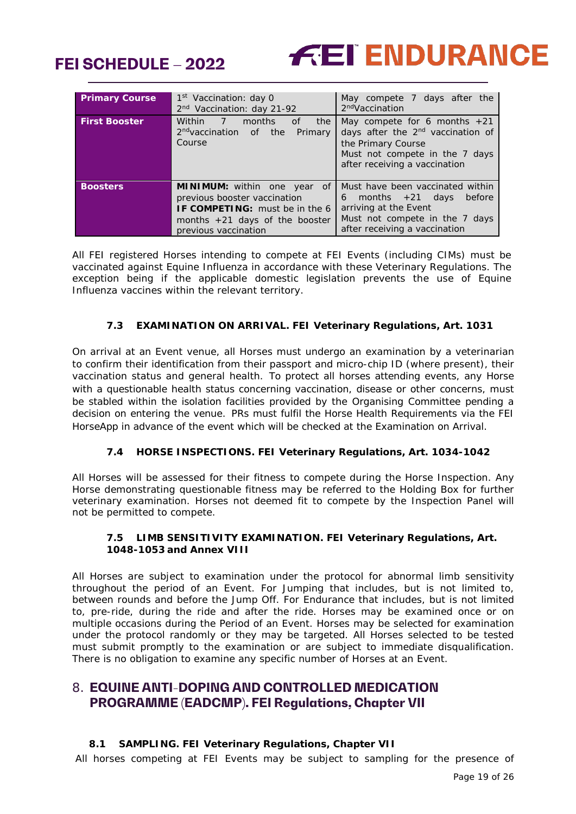



| <b>Primary Course</b> | 1 <sup>st</sup> Vaccination: day 0<br>2 <sup>nd</sup> Vaccination: day 21-92                                                                                                          | May compete 7 days after the<br>2 <sup>nd</sup> Vaccination                                                                                                              |
|-----------------------|---------------------------------------------------------------------------------------------------------------------------------------------------------------------------------------|--------------------------------------------------------------------------------------------------------------------------------------------------------------------------|
| <b>First Booster</b>  | <b>Within</b><br>$-77$<br>months<br>of<br>the<br>2 <sup>nd</sup> vaccination of the<br>Primary<br>Course                                                                              | May compete for 6 months $+21$<br>days after the 2 <sup>nd</sup> vaccination of<br>the Primary Course<br>Must not compete in the 7 days<br>after receiving a vaccination |
| <b>Boosters</b>       | <b>MINIMUM:</b> within one year<br><sub>of</sub><br>previous booster vaccination<br><b>IF COMPETING:</b> must be in the 6<br>months $+21$ days of the booster<br>previous vaccination | Must have been vaccinated within<br>6 months $+21$ days<br>before<br>arriving at the Event<br>Must not compete in the 7 days<br>after receiving a vaccination            |

All FEI registered Horses intending to compete at FEI Events (including CIMs) must be vaccinated against Equine Influenza in accordance with these Veterinary Regulations. The exception being if the applicable domestic legislation prevents the use of Equine Influenza vaccines within the relevant territory.

#### **7.3 EXAMINATION ON ARRIVAL. FEI Veterinary Regulations, Art. 1031**

<span id="page-18-0"></span>On arrival at an Event venue, all Horses must undergo an examination by a veterinarian to confirm their identification from their passport and micro-chip ID (where present), their vaccination status and general health. To protect all horses attending events, any Horse with a questionable health status concerning vaccination, disease or other concerns, must be stabled within the isolation facilities provided by the Organising Committee pending a decision on entering the venue. PRs must fulfil the Horse Health Requirements via the FEI HorseApp in advance of the event which will be checked at the Examination on Arrival.

#### **7.4 HORSE INSPECTIONS. FEI Veterinary Regulations, Art. 1034-1042**

<span id="page-18-1"></span>All Horses will be assessed for their fitness to compete during the Horse Inspection. Any Horse demonstrating questionable fitness may be referred to the Holding Box for further veterinary examination. Horses not deemed fit to compete by the Inspection Panel will not be permitted to compete.

#### **7.5 LIMB SENSITIVITY EXAMINATION. FEI Veterinary Regulations, Art. 1048-1053 and Annex VIII**

<span id="page-18-2"></span>All Horses are subject to examination under the protocol for abnormal limb sensitivity throughout the period of an Event. For Jumping that includes, but is not limited to, between rounds and before the Jump Off. For Endurance that includes, but is not limited to, pre-ride, during the ride and after the ride. Horses may be examined once or on multiple occasions during the Period of an Event. Horses may be selected for examination under the protocol randomly or they may be targeted. All Horses selected to be tested must submit promptly to the examination or are subject to immediate disqualification. There is no obligation to examine any specific number of Horses at an Event.

# <span id="page-18-3"></span>8. **EQUINE ANTI-DOPING AND CONTROLLED MEDICATION PROGRAMME (EADCMP). FEI Regulations, Chapter VII**

#### **8.1 SAMPLING. FEI Veterinary Regulations, Chapter VII**

<span id="page-18-4"></span>All horses competing at FEI Events may be subject to sampling for the presence of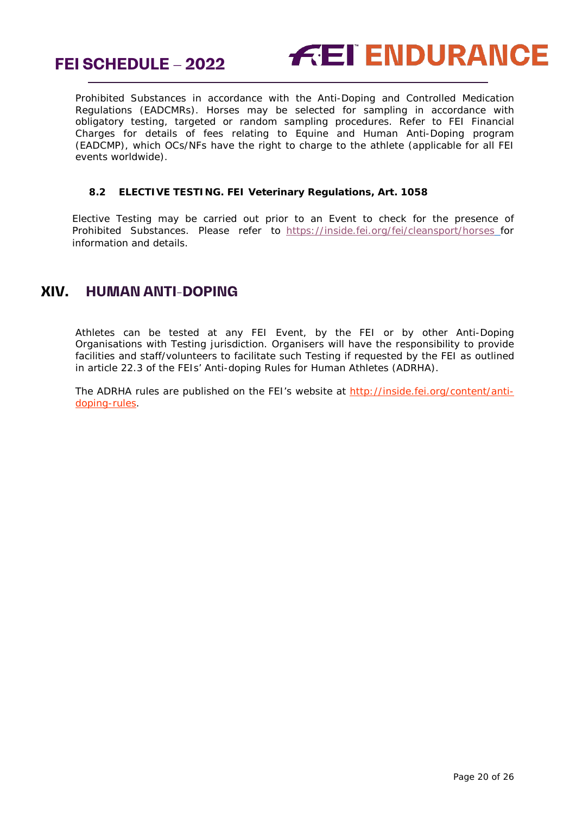



Prohibited Substances in accordance with the Anti-Doping and Controlled Medication Regulations (EADCMRs). Horses may be selected for sampling in accordance with obligatory testing, targeted or random sampling procedures. Refer to FEI Financial Charges for details of fees relating to Equine and Human Anti-Doping program (EADCMP), which OCs/NFs have the right to charge to the athlete (applicable for all FEI events worldwide).

#### <span id="page-19-0"></span>**8.2 ELECTIVE TESTING. FEI Veterinary Regulations, Art. 1058**

Elective Testing may be carried out prior to an Event to check for the presence of Prohibited Substances. Please refer to <https://inside.fei.org/fei/cleansport/horses> for information and details.

# <span id="page-19-1"></span>**XIV. HUMAN ANTI-DOPING**

Athletes can be tested at any FEI Event, by the FEI or by other Anti-Doping Organisations with Testing jurisdiction. Organisers will have the responsibility to provide facilities and staff/volunteers to facilitate such Testing if requested by the FEI as outlined in article 22.3 of the FEIs' Anti-doping Rules for Human Athletes (ADRHA).

The ADRHA rules are published on the FEI's website at [http://inside.fei.org/content/anti](http://inside.fei.org/content/anti-doping-rules)[doping-rules.](http://inside.fei.org/content/anti-doping-rules)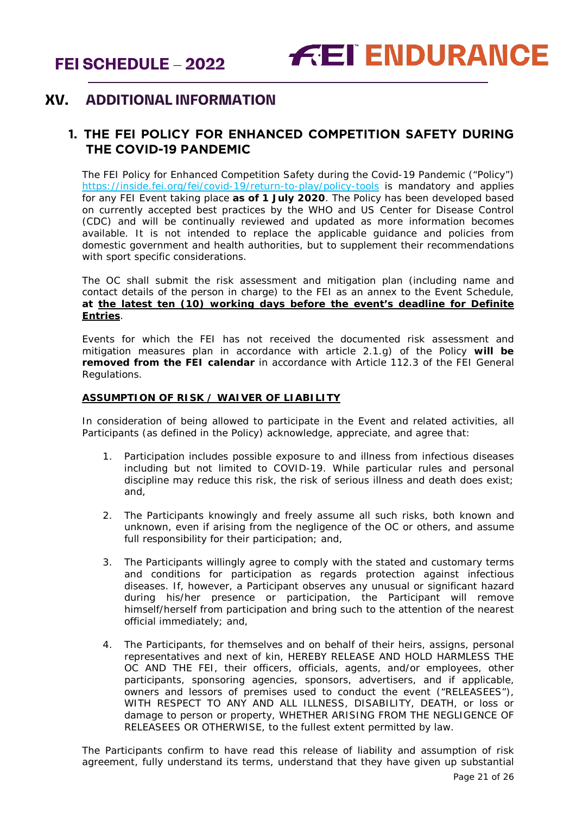# <span id="page-20-0"></span>**XV. ADDITIONAL INFORMATION**

# <span id="page-20-1"></span>**1. THE FEI POLICY FOR ENHANCED COMPETITION SAFETY DURING THE COVID-19 PANDEMIC**

The FEI Policy for Enhanced Competition Safety during the Covid-19 Pandemic ("Policy") <https://inside.fei.org/fei/covid-19/return-to-play/policy-tools> is mandatory and applies for any FEI Event taking place **as of 1 July 2020**. The Policy has been developed based on currently accepted best practices by the WHO and US Center for Disease Control (CDC) and will be continually reviewed and updated as more information becomes available. It is not intended to replace the applicable guidance and policies from domestic government and health authorities, but to supplement their recommendations with sport specific considerations.

The OC shall submit the risk assessment and mitigation plan (including name and contact details of the person in charge) to the FEI as an annex to the Event Schedule, **at the latest ten (10) working days before the event's deadline for Definite Entries**.

Events for which the FEI has not received the documented risk assessment and mitigation measures plan in accordance with article 2.1.g) of the Policy **will be removed from the FEI calendar** in accordance with Article 112.3 of the FEI General Regulations.

#### **ASSUMPTION OF RISK / WAIVER OF LIABILITY**

In consideration of being allowed to participate in the Event and related activities, all Participants (as defined in the Policy) acknowledge, appreciate, and agree that:

- 1. Participation includes possible exposure to and illness from infectious diseases including but not limited to COVID-19. While particular rules and personal discipline may reduce this risk, the risk of serious illness and death does exist; and,
- 2. The Participants knowingly and freely assume all such risks, both known and unknown, even if arising from the negligence of the OC or others, and assume full responsibility for their participation; and,
- 3. The Participants willingly agree to comply with the stated and customary terms and conditions for participation as regards protection against infectious diseases. If, however, a Participant observes any unusual or significant hazard during his/her presence or participation, the Participant will remove himself/herself from participation and bring such to the attention of the nearest official immediately; and,
- 4. The Participants, for themselves and on behalf of their heirs, assigns, personal representatives and next of kin, HEREBY RELEASE AND HOLD HARMLESS THE OC AND THE FEI, their officers, officials, agents, and/or employees, other participants, sponsoring agencies, sponsors, advertisers, and if applicable, owners and lessors of premises used to conduct the event ("RELEASEES"), WITH RESPECT TO ANY AND ALL ILLNESS, DISABILITY, DEATH, or loss or damage to person or property, WHETHER ARISING FROM THE NEGLIGENCE OF RELEASEES OR OTHERWISE, to the fullest extent permitted by law.

The Participants confirm to have read this release of liability and assumption of risk agreement, fully understand its terms, understand that they have given up substantial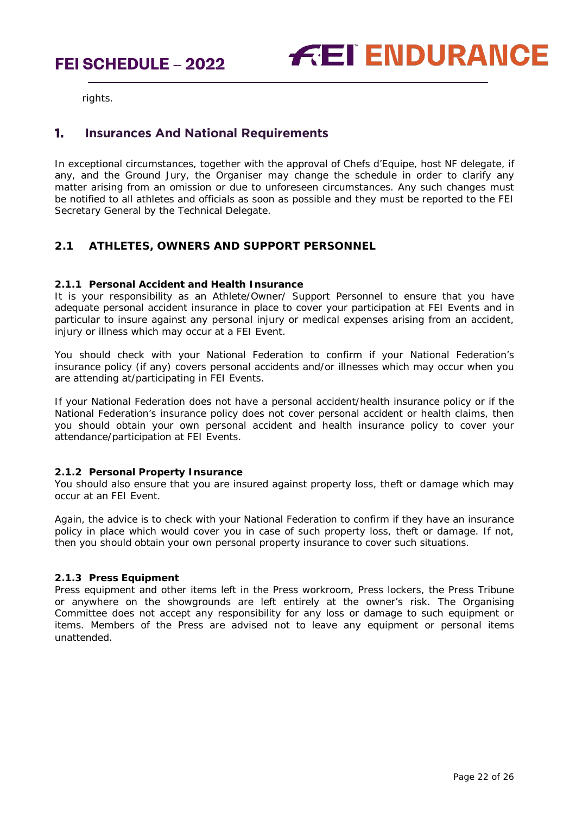

rights.

## <span id="page-21-0"></span>**1. Insurances And National Requirements**

In exceptional circumstances, together with the approval of Chefs d'Equipe, host NF delegate, if any, and the Ground Jury, the Organiser may change the schedule in order to clarify any matter arising from an omission or due to unforeseen circumstances. Any such changes must be notified to all athletes and officials as soon as possible and they must be reported to the FEI Secretary General by the Technical Delegate.

#### **2.1 ATHLETES, OWNERS AND SUPPORT PERSONNEL**

#### **2.1.1 Personal Accident and Health Insurance**

It is your responsibility as an Athlete/Owner/ Support Personnel to ensure that you have adequate personal accident insurance in place to cover your participation at FEI Events and in particular to insure against any personal injury or medical expenses arising from an accident, injury or illness which may occur at a FEI Event.

You should check with your National Federation to confirm if your National Federation's insurance policy (if any) covers personal accidents and/or illnesses which may occur when you are attending at/participating in FEI Events.

If your National Federation does not have a personal accident/health insurance policy or if the National Federation's insurance policy does not cover personal accident or health claims, then you should obtain your own personal accident and health insurance policy to cover your attendance/participation at FEI Events.

#### **2.1.2 Personal Property Insurance**

You should also ensure that you are insured against property loss, theft or damage which may occur at an FEI Event.

Again, the advice is to check with your National Federation to confirm if they have an insurance policy in place which would cover you in case of such property loss, theft or damage. If not, then you should obtain your own personal property insurance to cover such situations.

#### **2.1.3 Press Equipment**

Press equipment and other items left in the Press workroom, Press lockers, the Press Tribune or anywhere on the showgrounds are left entirely at the owner's risk. The Organising Committee does not accept any responsibility for any loss or damage to such equipment or items. Members of the Press are advised not to leave any equipment or personal items unattended.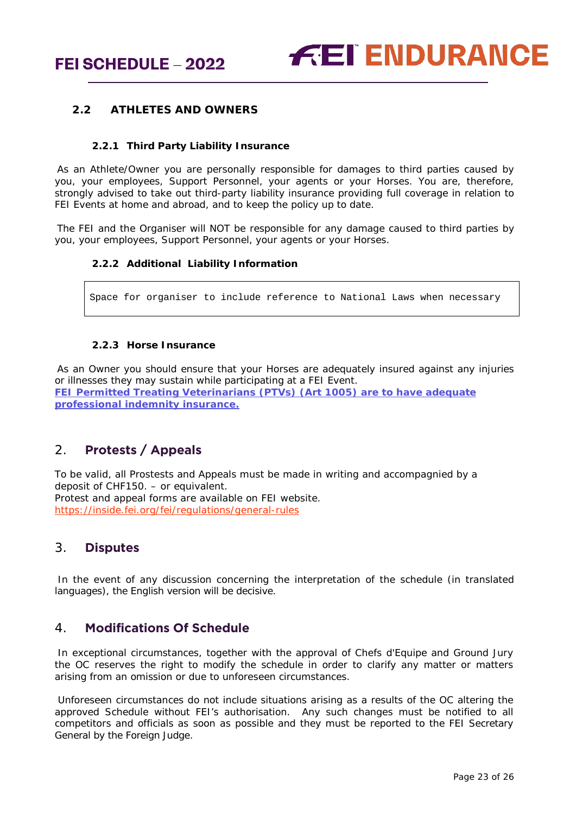#### **2.2 ATHLETES AND OWNERS**

#### **2.2.1 Third Party Liability Insurance**

As an Athlete/Owner you are personally responsible for damages to third parties caused by you, your employees, Support Personnel, your agents or your Horses. You are, therefore, strongly advised to take out third-party liability insurance providing full coverage in relation to FEI Events at home and abroad, and to keep the policy up to date.

The FEI and the Organiser will NOT be responsible for any damage caused to third parties by you, your employees, Support Personnel, your agents or your Horses.

#### **2.2.2 Additional Liability Information**

Space for organiser to include reference to National Laws when necessary

#### **2.2.3 Horse Insurance**

As an Owner you should ensure that your Horses are adequately insured against any injuries or illnesses they may sustain while participating at a FEI Event. **FEI Permitted Treating Veterinarians (PTVs) (Art 1005) are to have adequate professional indemnity insurance.**

# <span id="page-22-0"></span>2. **Protests / Appeals**

To be valid, all Prostests and Appeals must be made in writing and accompagnied by a deposit of CHF150. – or equivalent. Protest and appeal forms are available on FEI website. <https://inside.fei.org/fei/regulations/general-rules>

## <span id="page-22-1"></span>3. **Disputes**

In the event of any discussion concerning the interpretation of the schedule (in translated languages), the English version will be decisive.

## <span id="page-22-2"></span>4. **Modifications Of Schedule**

In exceptional circumstances, together with the approval of Chefs d'Equipe and Ground Jury the OC reserves the right to modify the schedule in order to clarify any matter or matters arising from an omission or due to unforeseen circumstances.

Unforeseen circumstances do not include situations arising as a results of the OC altering the approved Schedule without FEI's authorisation. Any such changes must be notified to all competitors and officials as soon as possible and they must be reported to the FEI Secretary General by the Foreign Judge.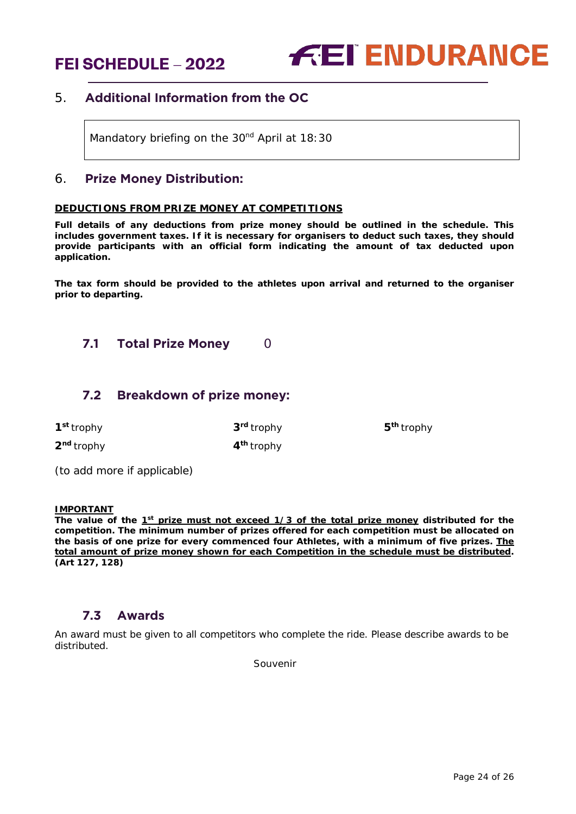

## <span id="page-23-0"></span>5. **Additional Information from the OC**

Mandatory briefing on the 30<sup>nd</sup> April at 18:30

#### <span id="page-23-1"></span>6. **Prize Money Distribution:**

#### **DEDUCTIONS FROM PRIZE MONEY AT COMPETITIONS**

**Full details of any deductions from prize money should be outlined in the schedule. This includes government taxes. If it is necessary for organisers to deduct such taxes, they should provide participants with an official form indicating the amount of tax deducted upon application.** 

**The tax form should be provided to the athletes upon arrival and returned to the organiser prior to departing.**

## <span id="page-23-2"></span>**7.1 Total Prize Money** 0

#### <span id="page-23-3"></span>**7.2 Breakdown of prize money:**

**2nd** trophy **4th** trophy

**1st** trophy **3rd** trophy **5th** trophy

*(to add more if applicable)*

#### **IMPORTANT**

The value of the 1<sup>st</sup> prize must not exceed 1/3 of the total prize money distributed for the **competition. The minimum number of prizes offered for each competition must be allocated on the basis of one prize for every commenced four Athletes, with a minimum of five prizes. The total amount of prize money shown for each Competition in the schedule must be distributed. (Art 127, 128)**

#### **7.3 Awards**

<span id="page-23-4"></span>An award must be given to all competitors who complete the ride. Please describe awards to be distributed.

Souvenir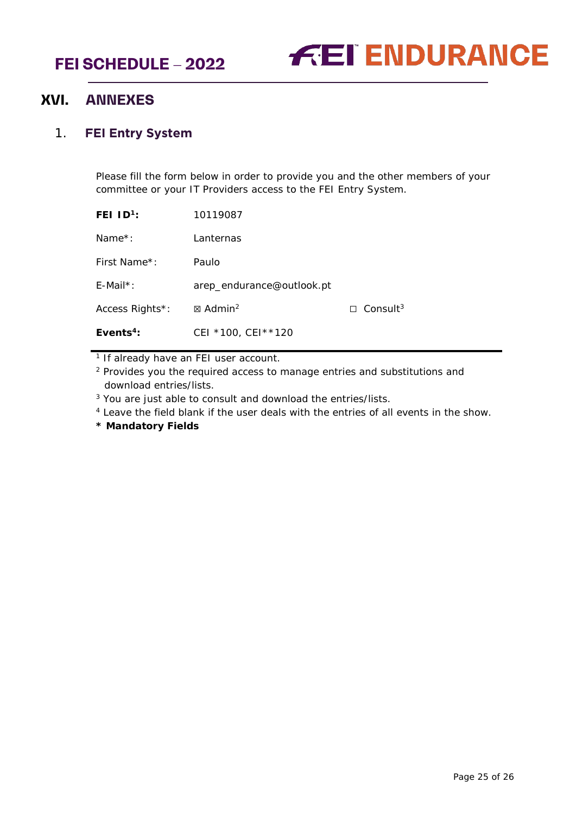

# <span id="page-24-0"></span>**XVI. ANNEXES**

## <span id="page-24-1"></span>1. **FEI Entry System**

Please fill the form below in order to provide you and the other members of your committee or your IT Providers access to the FEI Entry System.

| 10119087                  |                             |
|---------------------------|-----------------------------|
| Lanternas                 |                             |
| Paulo                     |                             |
| arep_endurance@outlook.pt |                             |
| ⊠ Admin <sup>2</sup>      | $\Box$ Consult <sup>3</sup> |
| CEI *100, CEI ** 120      |                             |
|                           |                             |

<sup>1</sup> If already have an FEI user account.

<sup>2</sup> Provides you the required access to manage entries and substitutions and download entries/lists.

<sup>3</sup> You are just able to consult and download the entries/lists.

<sup>4</sup> Leave the field blank if the user deals with the entries of all events in the show.

**\* Mandatory Fields**